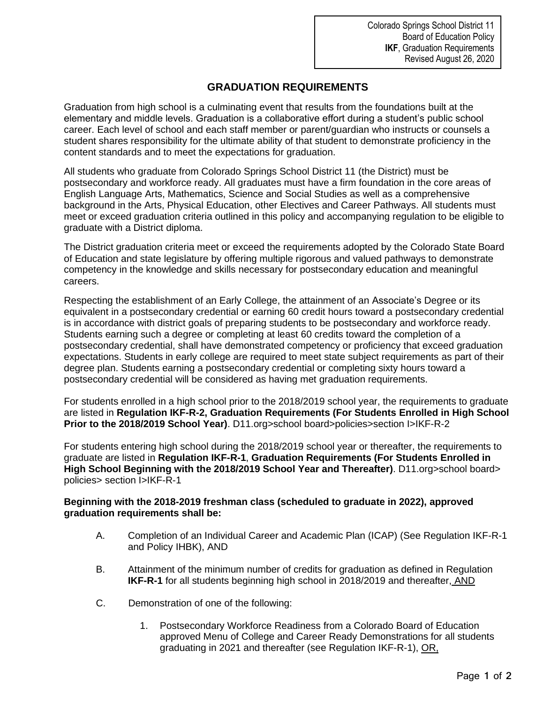## **GRADUATION REQUIREMENTS**

Graduation from high school is a culminating event that results from the foundations built at the elementary and middle levels. Graduation is a collaborative effort during a student's public school career. Each level of school and each staff member or parent/guardian who instructs or counsels a student shares responsibility for the ultimate ability of that student to demonstrate proficiency in the content standards and to meet the expectations for graduation.

All students who graduate from Colorado Springs School District 11 (the District) must be postsecondary and workforce ready. All graduates must have a firm foundation in the core areas of English Language Arts, Mathematics, Science and Social Studies as well as a comprehensive background in the Arts, Physical Education, other Electives and Career Pathways. All students must meet or exceed graduation criteria outlined in this policy and accompanying regulation to be eligible to graduate with a District diploma.

The District graduation criteria meet or exceed the requirements adopted by the Colorado State Board of Education and state legislature by offering multiple rigorous and valued pathways to demonstrate competency in the knowledge and skills necessary for postsecondary education and meaningful careers.

Respecting the establishment of an Early College, the attainment of an Associate's Degree or its equivalent in a postsecondary credential or earning 60 credit hours toward a postsecondary credential is in accordance with district goals of preparing students to be postsecondary and workforce ready. Students earning such a degree or completing at least 60 credits toward the completion of a postsecondary credential, shall have demonstrated competency or proficiency that exceed graduation expectations. Students in early college are required to meet state subject requirements as part of their degree plan. Students earning a postsecondary credential or completing sixty hours toward a postsecondary credential will be considered as having met graduation requirements.

For students enrolled in a high school prior to the 2018/2019 school year, the requirements to graduate are listed in **Regulation IKF-R-2, Graduation Requirements (For Students Enrolled in High School Prior to the 2018/2019 School Year)**. D11.org>school board>policies>section I>IKF-R-2

For students entering high school during the 2018/2019 school year or thereafter, the requirements to graduate are listed in **Regulation IKF-R-1**, **Graduation Requirements (For Students Enrolled in High School Beginning with the 2018/2019 School Year and Thereafter)**. D11.org>school board> policies> section I>IKF-R-1

## **Beginning with the 2018-2019 freshman class (scheduled to graduate in 2022), approved graduation requirements shall be:**

- A. Completion of an Individual Career and Academic Plan (ICAP) (See Regulation IKF-R-1 and Policy IHBK), AND
- B. Attainment of the minimum number of credits for graduation as defined in Regulation **IKF-R-1** for all students beginning high school in 2018/2019 and thereafter, AND
- C. Demonstration of one of the following:
	- 1. Postsecondary Workforce Readiness from a Colorado Board of Education approved Menu of College and Career Ready Demonstrations for all students graduating in 2021 and thereafter (see Regulation IKF-R-1), OR,